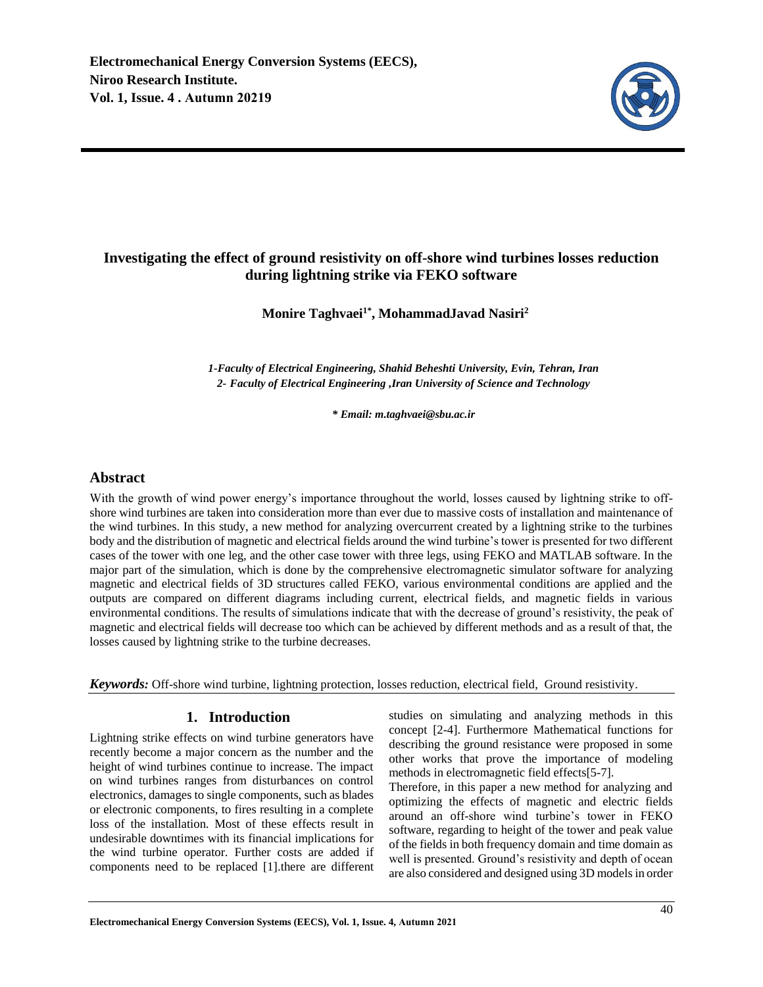

# **Investigating the effect of ground resistivity on off-shore wind turbines losses reduction during lightning strike via FEKO software**

# **Monire Taghvaei1\*, MohammadJavad Nasiri<sup>2</sup>**

*1-Faculty of Electrical Engineering, Shahid Beheshti University, Evin, Tehran, Iran 2- Faculty of Electrical Engineering ,Iran University of Science and Technology* 

*\* Email: m.taghvaei@sbu.ac.ir*

# **Abstract**

With the growth of wind power energy's importance throughout the world, losses caused by lightning strike to offshore wind turbines are taken into consideration more than ever due to massive costs of installation and maintenance of the wind turbines. In this study, a new method for analyzing overcurrent created by a lightning strike to the turbines body and the distribution of magnetic and electrical fields around the wind turbine's tower is presented for two different cases of the tower with one leg, and the other case tower with three legs, using FEKO and MATLAB software. In the major part of the simulation, which is done by the comprehensive electromagnetic simulator software for analyzing magnetic and electrical fields of 3D structures called FEKO, various environmental conditions are applied and the outputs are compared on different diagrams including current, electrical fields, and magnetic fields in various environmental conditions. The results of simulations indicate that with the decrease of ground's resistivity, the peak of magnetic and electrical fields will decrease too which can be achieved by different methods and as a result of that, the losses caused by lightning strike to the turbine decreases.

*Keywords:* Off-shore wind turbine, lightning protection, losses reduction, electrical field, Ground resistivity.

# **1. Introduction**

Lightning strike effects on wind turbine generators have recently become a major concern as the number and the height of wind turbines continue to increase. The impact on wind turbines ranges from disturbances on control electronics, damages to single components, such as blades or electronic components, to fires resulting in a complete loss of the installation. Most of these effects result in undesirable downtimes with its financial implications for the wind turbine operator. Further costs are added if components need to be replaced [1].there are different studies on simulating and analyzing methods in this concept [2-4]. Furthermore Mathematical functions for describing the ground resistance were proposed in some other works that prove the importance of modeling methods in electromagnetic field effects[5-7].

Therefore, in this paper a new method for analyzing and optimizing the effects of magnetic and electric fields around an off-shore wind turbine's tower in FEKO software, regarding to height of the tower and peak value of the fields in both frequency domain and time domain as well is presented. Ground's resistivity and depth of ocean are also considered and designed using 3D models in order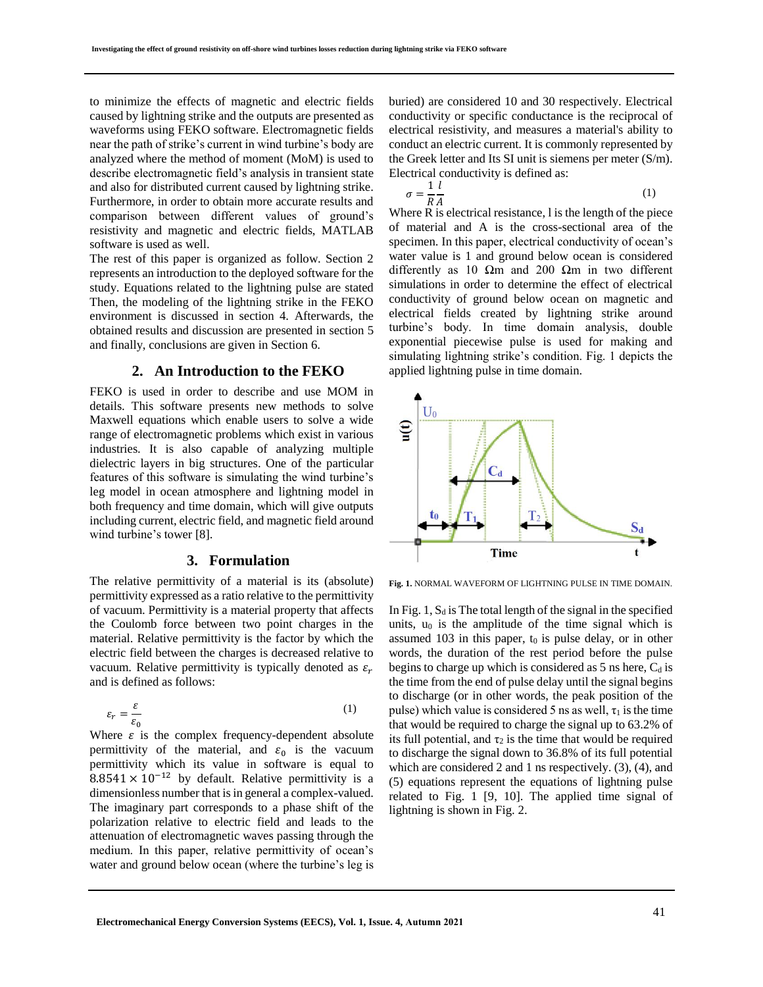to minimize the effects of magnetic and electric fields caused by lightning strike and the outputs are presented as waveforms using FEKO software. Electromagnetic fields near the path of strike's current in wind turbine's body are analyzed where the method of moment (MoM) is used to describe electromagnetic field's analysis in transient state and also for distributed current caused by lightning strike. Furthermore, in order to obtain more accurate results and comparison between different values of ground's resistivity and magnetic and electric fields, MATLAB software is used as well.

The rest of this paper is organized as follow. Section 2 represents an introduction to the deployed software for the study. Equations related to the lightning pulse are stated Then, the modeling of the lightning strike in the FEKO environment is discussed in section 4. Afterwards, the obtained results and discussion are presented in section 5 and finally, conclusions are given in Section 6.

### **2. An Introduction to the FEKO**

FEKO is used in order to describe and use MOM in details. This software presents new methods to solve Maxwell equations which enable users to solve a wide range of electromagnetic problems which exist in various industries. It is also capable of analyzing multiple dielectric layers in big structures. One of the particular features of this software is simulating the wind turbine's leg model in ocean atmosphere and lightning model in both frequency and time domain, which will give outputs including current, electric field, and magnetic field around wind turbine's tower [8].

## **3. Formulation**

The relative permittivity of a material is its (absolute) permittivity expressed as a ratio relative to the permittivity of vacuum. Permittivity is a material property that affects the Coulomb force between two point charges in the material. Relative permittivity is the factor by which the electric field between the charges is decreased relative to vacuum. Relative permittivity is typically denoted as  $\varepsilon_r$ and is defined as follows:

$$
\varepsilon_r = \frac{\varepsilon}{\varepsilon_0} \tag{1}
$$

Where  $\varepsilon$  is the complex frequency-dependent absolute permittivity of the material, and  $\varepsilon_0$  is the vacuum permittivity which its value in software is equal to  $8.8541 \times 10^{-12}$  by default. Relative permittivity is a dimensionless number that is in general a complex-valued. The imaginary part corresponds to a phase shift of the polarization relative to electric field and leads to the attenuation of electromagnetic waves passing through the medium. In this paper, relative permittivity of ocean's water and ground below ocean (where the turbine's leg is

buried) are considered 10 and 30 respectively. Electrical conductivity or specific conductance is the reciprocal of electrical resistivity, and measures a material's ability to conduct an electric current. It is commonly represented by the Greek letter and Its SI unit is siemens per meter (S/m). Electrical conductivity is defined as:

$$
\sigma = \frac{1}{R} \frac{l}{A} \tag{1}
$$

Where R is electrical resistance, l is the length of the piece of material and A is the cross-sectional area of the specimen. In this paper, electrical conductivity of ocean's water value is 1 and ground below ocean is considered differently as 10  $\Omega$ m and 200  $\Omega$ m in two different simulations in order to determine the effect of electrical conductivity of ground below ocean on magnetic and electrical fields created by lightning strike around turbine's body. In time domain analysis, double exponential piecewise pulse is used for making and simulating lightning strike's condition. Fig. 1 depicts the applied lightning pulse in time domain.



**Fig. 1.** NORMAL WAVEFORM OF LIGHTNING PULSE IN TIME DOMAIN.

In Fig. 1,  $S_d$  is The total length of the signal in the specified units,  $u_0$  is the amplitude of the time signal which is assumed 103 in this paper,  $t_0$  is pulse delay, or in other words, the duration of the rest period before the pulse begins to charge up which is considered as  $5$  ns here,  $C_d$  is the time from the end of pulse delay until the signal begins to discharge (or in other words, the peak position of the pulse) which value is considered 5 ns as well,  $\tau_1$  is the time that would be required to charge the signal up to 63.2% of its full potential, and  $\tau_2$  is the time that would be required to discharge the signal down to 36.8% of its full potential which are considered 2 and 1 ns respectively. (3), (4), and (5) equations represent the equations of lightning pulse related to Fig. 1 [9, 10]. The applied time signal of lightning is shown in Fig. 2.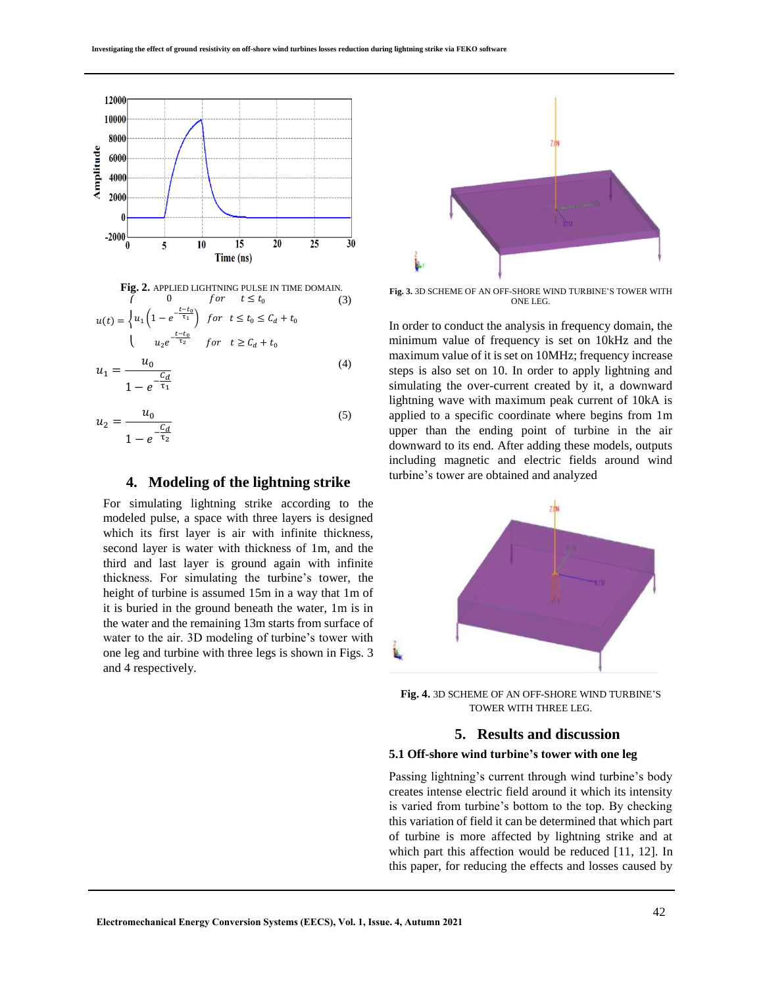



$$
u_1 = \frac{c_d}{1 - e^{-\frac{c_d}{\tau_1}}}
$$
 (4)

$$
u_2 = \frac{u_0}{1 - e^{-\frac{C_d}{\tau_2}}}
$$
 (5)

## **4. Modeling of the lightning strike**

For simulating lightning strike according to the modeled pulse, a space with three layers is designed which its first layer is air with infinite thickness, second layer is water with thickness of 1m, and the third and last layer is ground again with infinite thickness. For simulating the turbine's tower, the height of turbine is assumed 15m in a way that 1m of it is buried in the ground beneath the water, 1m is in the water and the remaining 13m starts from surface of water to the air. 3D modeling of turbine's tower with one leg and turbine with three legs is shown in Figs. 3 and 4 respectively.



**Fig. 3.** 3D SCHEME OF AN OFF-SHORE WIND TURBINE'S TOWER WITH ONE LEG.

In order to conduct the analysis in frequency domain, the minimum value of frequency is set on 10kHz and the maximum value of it is set on 10MHz; frequency increase steps is also set on 10. In order to apply lightning and simulating the over-current created by it, a downward lightning wave with maximum peak current of 10kA is applied to a specific coordinate where begins from 1m upper than the ending point of turbine in the air downward to its end. After adding these models, outputs including magnetic and electric fields around wind turbine's tower are obtained and analyzed



**Fig. 4.** 3D SCHEME OF AN OFF-SHORE WIND TURBINE'S TOWER WITH THREE LEG.

# **5. Results and discussion**

### **5.1 Off-shore wind turbine's tower with one leg**

Passing lightning's current through wind turbine's body creates intense electric field around it which its intensity is varied from turbine's bottom to the top. By checking this variation of field it can be determined that which part of turbine is more affected by lightning strike and at which part this affection would be reduced [11, 12]. In this paper, for reducing the effects and losses caused by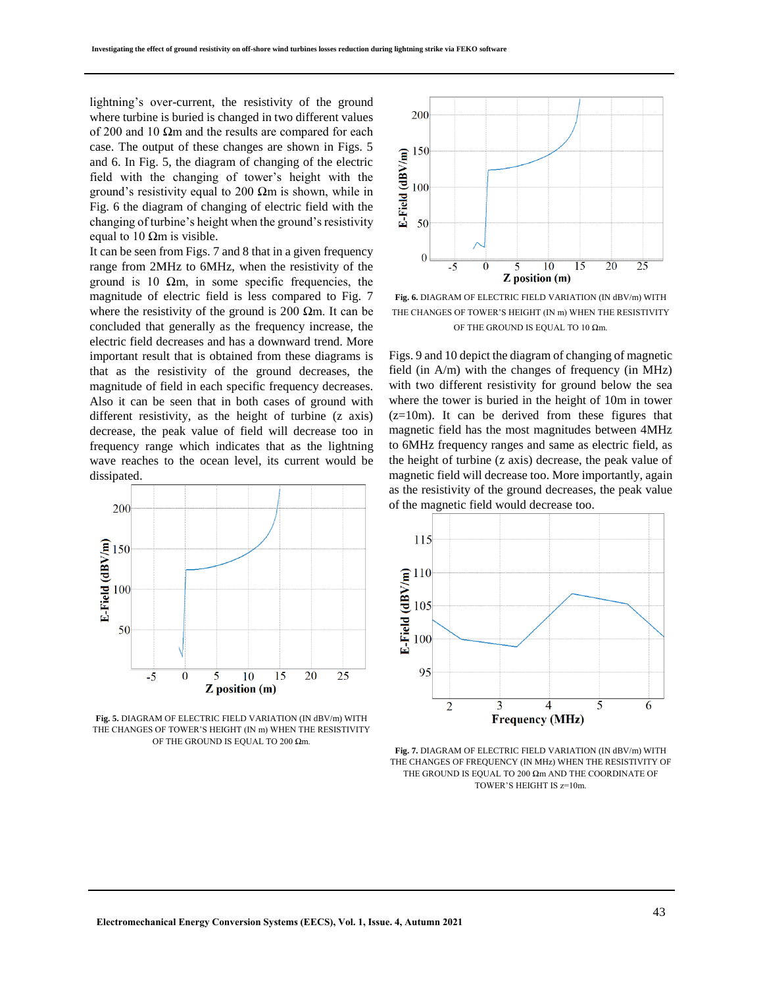lightning's over-current, the resistivity of the ground where turbine is buried is changed in two different values of 200 and 10  $\Omega$ m and the results are compared for each case. The output of these changes are shown in Figs. 5 and 6. In Fig. 5, the diagram of changing of the electric field with the changing of tower's height with the ground's resistivity equal to 200  $\Omega$ m is shown, while in Fig. 6 the diagram of changing of electric field with the changing of turbine's height when the ground's resistivity equal to 10  $\Omega$ m is visible.

It can be seen from Figs. 7 and 8 that in a given frequency range from 2MHz to 6MHz, when the resistivity of the ground is 10  $\Omega$ m, in some specific frequencies, the magnitude of electric field is less compared to Fig. 7 where the resistivity of the ground is 200  $\Omega$ m. It can be concluded that generally as the frequency increase, the electric field decreases and has a downward trend. More important result that is obtained from these diagrams is that as the resistivity of the ground decreases, the magnitude of field in each specific frequency decreases. Also it can be seen that in both cases of ground with different resistivity, as the height of turbine (z axis) decrease, the peak value of field will decrease too in frequency range which indicates that as the lightning wave reaches to the ocean level, its current would be dissipated.



**Fig. 5.** DIAGRAM OF ELECTRIC FIELD VARIATION (IN dBV/m) WITH THE CHANGES OF TOWER'S HEIGHT (IN m) WHEN THE RESISTIVITY OF THE GROUND IS EQUAL TO 200 Ωm.



**Fig. 6.** DIAGRAM OF ELECTRIC FIELD VARIATION (IN dBV/m) WITH THE CHANGES OF TOWER'S HEIGHT (IN m) WHEN THE RESISTIVITY OF THE GROUND IS EQUAL TO 10  $\Omega$ m.

Figs. 9 and 10 depict the diagram of changing of magnetic field (in A/m) with the changes of frequency (in MHz) with two different resistivity for ground below the sea where the tower is buried in the height of 10m in tower  $(z=10m)$ . It can be derived from these figures that magnetic field has the most magnitudes between 4MHz to 6MHz frequency ranges and same as electric field, as the height of turbine (z axis) decrease, the peak value of magnetic field will decrease too. More importantly, again as the resistivity of the ground decreases, the peak value of the magnetic field would decrease too.



**Fig. 7.** DIAGRAM OF ELECTRIC FIELD VARIATION (IN dBV/m) WITH THE CHANGES OF FREQUENCY (IN MHz) WHEN THE RESISTIVITY OF THE GROUND IS EQUAL TO 200 Ωm AND THE COORDINATE OF TOWER'S HEIGHT IS z=10m.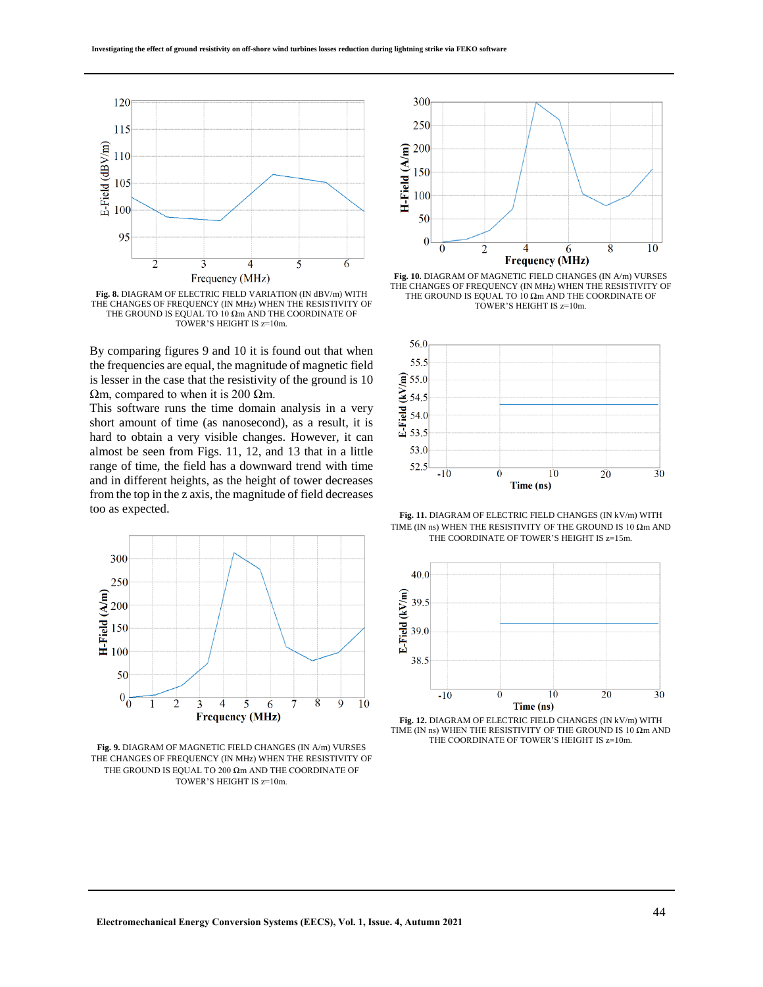

**Fig. 8.** DIAGRAM OF ELECTRIC FIELD VARIATION (IN dBV/m) WITH THE CHANGES OF FREQUENCY (IN MHz) WHEN THE RESISTIVITY OF THE GROUND IS EQUAL TO 10 Ωm AND THE COORDINATE OF TOWER'S HEIGHT IS z=10m.

By comparing figures 9 and 10 it is found out that when the frequencies are equal, the magnitude of magnetic field is lesser in the case that the resistivity of the ground is 10 Ωm, compared to when it is 200 Ωm.

This software runs the time domain analysis in a very short amount of time (as nanosecond), as a result, it is hard to obtain a very visible changes. However, it can almost be seen from Figs. 11, 12, and 13 that in a little range of time, the field has a downward trend with time and in different heights, as the height of tower decreases from the top in the z axis, the magnitude of field decreases too as expected.



**Fig. 9.** DIAGRAM OF MAGNETIC FIELD CHANGES (IN A/m) VURSES THE CHANGES OF FREQUENCY (IN MHz) WHEN THE RESISTIVITY OF THE GROUND IS EQUAL TO 200  $\Omega$ m AND THE COORDINATE OF TOWER'S HEIGHT IS z=10m.



Fig. 10. DIAGRAM OF MAGNETIC FIELD CHANGES (IN A/m) VURSES THE CHANGES OF FREQUENCY (IN MHz) WHEN THE RESISTIVITY OF THE GROUND IS EQUAL TO 10  $\Omega$ m AND THE COORDINATE OF TOWER'S HEIGHT IS z=10m.



**Fig. 11.** DIAGRAM OF ELECTRIC FIELD CHANGES (IN kV/m) WITH TIME (IN ns) WHEN THE RESISTIVITY OF THE GROUND IS 10  $\Omega$ m AND THE COORDINATE OF TOWER'S HEIGHT IS z=15m.



**Fig. 12.** DIAGRAM OF ELECTRIC FIELD CHANGES (IN kV/m) WITH TIME (IN ns) WHEN THE RESISTIVITY OF THE GROUND IS 10  $\Omega$ m AND THE COORDINATE OF TOWER'S HEIGHT IS z=10m.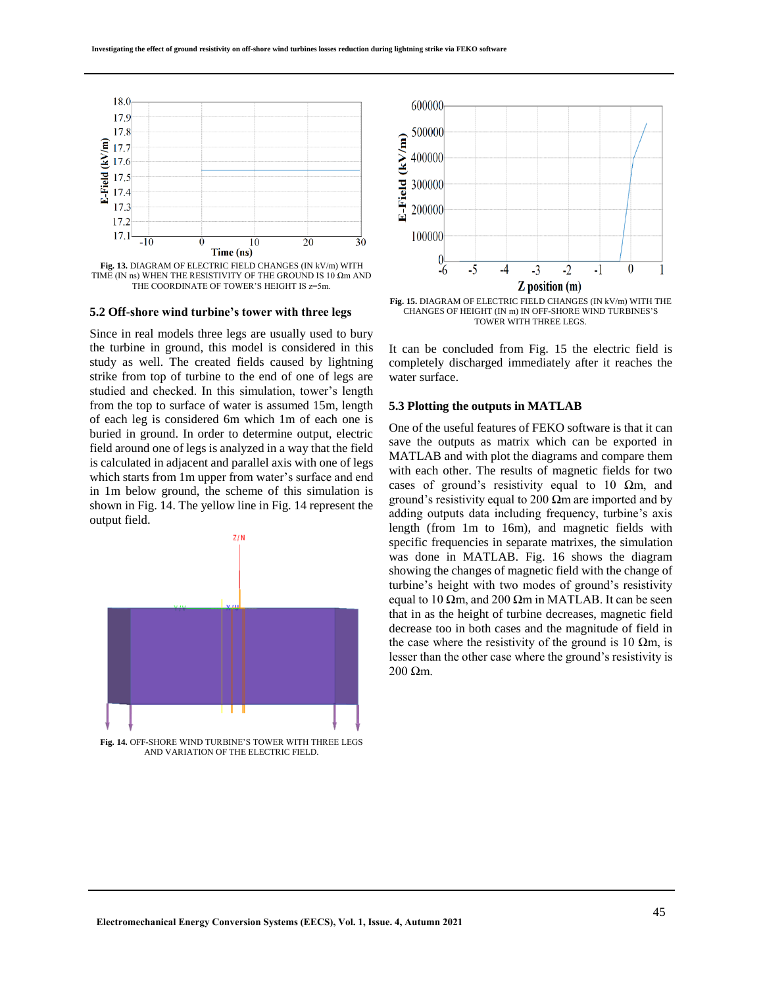

**Fig. 13.** DIAGRAM OF ELECTRIC FIELD CHANGES (IN kV/m) WITH TIME (IN ns) WHEN THE RESISTIVITY OF THE GROUND IS 10  $\Omega$ m AND THE COORDINATE OF TOWER'S HEIGHT IS  $z=5m$ .

#### **5.2 Off-shore wind turbine's tower with three legs**

Since in real models three legs are usually used to bury the turbine in ground, this model is considered in this study as well. The created fields caused by lightning strike from top of turbine to the end of one of legs are studied and checked. In this simulation, tower's length from the top to surface of water is assumed 15m, length of each leg is considered 6m which 1m of each one is buried in ground. In order to determine output, electric field around one of legs is analyzed in a way that the field is calculated in adjacent and parallel axis with one of legs which starts from 1m upper from water's surface and end in 1m below ground, the scheme of this simulation is shown in Fig. 14. The yellow line in Fig. 14 represent the output field.



**Fig. 14.** OFF-SHORE WIND TURBINE'S TOWER WITH THREE LEGS AND VARIATION OF THE ELECTRIC FIELD.



**Fig. 15.** DIAGRAM OF ELECTRIC FIELD CHANGES (IN kV/m) WITH THE CHANGES OF HEIGHT (IN m) IN OFF-SHORE WIND TURBINES'S TOWER WITH THREE LEGS.

It can be concluded from Fig. 15 the electric field is completely discharged immediately after it reaches the water surface.

#### **5.3 Plotting the outputs in MATLAB**

One of the useful features of FEKO software is that it can save the outputs as matrix which can be exported in MATLAB and with plot the diagrams and compare them with each other. The results of magnetic fields for two cases of ground's resistivity equal to 10  $\Omega$ m, and ground's resistivity equal to 200  $\Omega$ m are imported and by adding outputs data including frequency, turbine's axis length (from 1m to 16m), and magnetic fields with specific frequencies in separate matrixes, the simulation was done in MATLAB. Fig. 16 shows the diagram showing the changes of magnetic field with the change of turbine's height with two modes of ground's resistivity equal to 10  $\Omega$ m, and 200  $\Omega$ m in MATLAB. It can be seen that in as the height of turbine decreases, magnetic field decrease too in both cases and the magnitude of field in the case where the resistivity of the ground is 10  $\Omega$ m, is lesser than the other case where the ground's resistivity is 200 Ωm.